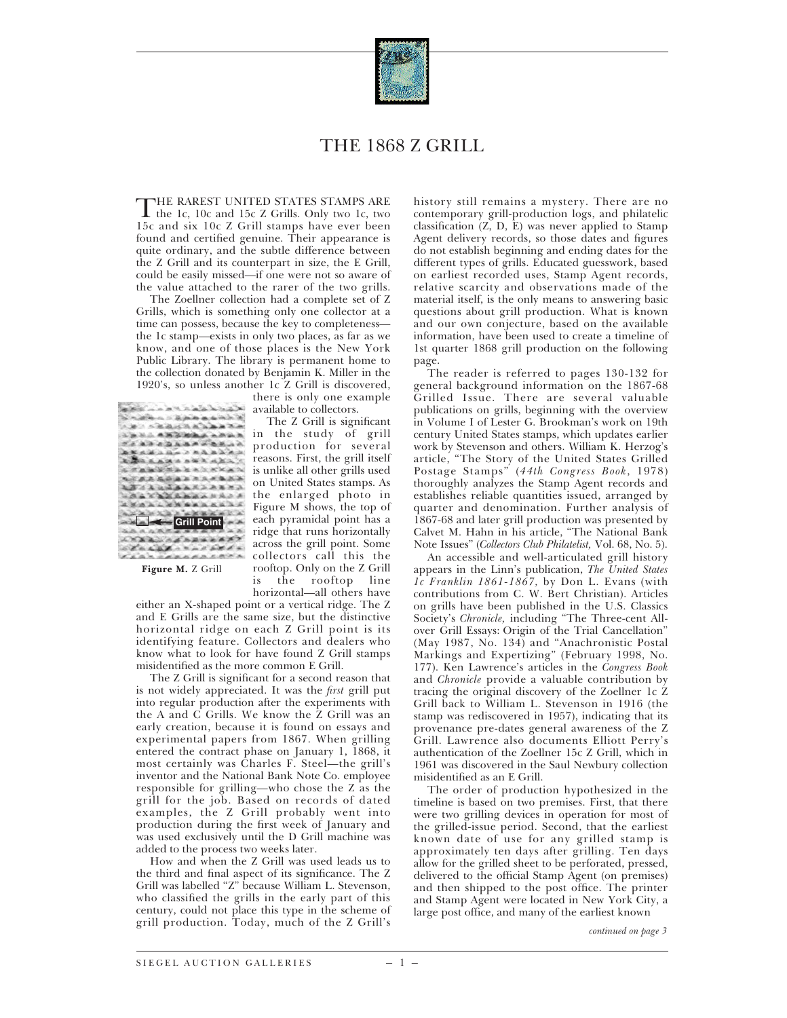

## THE 1868 Z GRILL

THE RAREST UNITED STATES STAMPS ARE<br>the 1c, 10c and 15c Z Grills. Only two 1c, two<br>15c and six 10c Z Grill stamps have away have 15c and six 10c Z Grill stamps have ever been found and certified genuine. Their appearance is quite ordinary, and the subtle difference between the Z Grill and its counterpart in size, the E Grill, could be easily missed—if one were not so aware of the value attached to the rarer of the two grills.

The Zoellner collection had a complete set of Z Grills, which is something only one collector at a time can possess, because the key to completeness the 1c stamp—exists in only two places, as far as we know, and one of those places is the New York Public Library. The library is permanent home to the collection donated by Benjamin K. Miller in the 1920's, so unless another 1c Z Grill is discovered,

| Carl Salat & Maria Salat                 |
|------------------------------------------|
| 医风潮电压 医筋膜曲曲病毒                            |
| <b>1. 不适应过低点压迫。</b>                      |
| La M.L. A. K. Mark A. A. W. G.           |
| 2. 医病毒病毒病毒病毒病毒                           |
| 在军兵运动的运动上的高高兵力                           |
| 高速線 長長 武治 ある<br>高地高温。                    |
| A TAMES A A X X X                        |
| <b>化不成品品品品品品质品质</b>                      |
| <b>LAA UMAAKAA</b>                       |
| the planet of the state of the planet of |
|                                          |
|                                          |
| Grill Point                              |
|                                          |
| all the affect                           |
|                                          |
|                                          |

there is only one example available to collectors.

The Z Grill is significant in the study of grill production for several reasons. First, the grill itself is unlike all other grills used on United States stamps. As the enlarged photo in Figure M shows, the top of each pyramidal point has a ridge that runs horizontally across the grill point. Some collectors call this the rooftop. Only on the Z Grill is the rooftop line horizontal—all others have

**Figure M.** Z Grill

either an X-shaped point or a vertical ridge. The Z and E Grills are the same size, but the distinctive horizontal ridge on each Z Grill point is its identifying feature. Collectors and dealers who know what to look for have found Z Grill stamps misidentified as the more common E Grill.

The Z Grill is significant for a second reason that is not widely appreciated. It was the *first* grill put into regular production after the experiments with the A and C Grills. We know the Z Grill was an early creation, because it is found on essays and experimental papers from 1867. When grilling entered the contract phase on January 1, 1868, it most certainly was Charles F. Steel—the grill's inventor and the National Bank Note Co. employee responsible for grilling—who chose the Z as the grill for the job. Based on records of dated examples, the Z Grill probably went into production during the first week of January and was used exclusively until the D Grill machine was added to the process two weeks later.

How and when the Z Grill was used leads us to the third and final aspect of its significance. The Z Grill was labelled "Z" because William L. Stevenson, who classified the grills in the early part of this century, could not place this type in the scheme of grill production. Today, much of the Z Grill's

history still remains a mystery. There are no contemporary grill-production logs, and philatelic classification (Z, D, E) was never applied to Stamp Agent delivery records, so those dates and figures do not establish beginning and ending dates for the different types of grills. Educated guesswork, based on earliest recorded uses, Stamp Agent records, relative scarcity and observations made of the material itself, is the only means to answering basic questions about grill production. What is known and our own conjecture, based on the available information, have been used to create a timeline of 1st quarter 1868 grill production on the following page.

The reader is referred to pages 130-132 for general background information on the 1867-68 Grilled Issue. There are several valuable publications on grills, beginning with the overview in Volume I of Lester G. Brookman's work on 19th century United States stamps, which updates earlier work by Stevenson and others. William K. Herzog's article, "The Story of the United States Grilled Postage Stamps" (*44th Congress Book*, 1978) thoroughly analyzes the Stamp Agent records and establishes reliable quantities issued, arranged by quarter and denomination. Further analysis of 1867-68 and later grill production was presented by Calvet M. Hahn in his article, "The National Bank Note Issues" (*Collectors Club Philatelist,* Vol. 68, No. 5).

An accessible and well-articulated grill history appears in the Linn's publication, *The United States 1c Franklin 1861-1867,* by Don L. Evans (with contributions from C. W. Bert Christian). Articles on grills have been published in the U.S. Classics Society's *Chronicle,* including "The Three-cent Allover Grill Essays: Origin of the Trial Cancellation" (May 1987, No. 134) and "Anachronistic Postal Markings and Expertizing" (February 1998, No. 177). Ken Lawrence's articles in the *Congress Book* and *Chronicle* provide a valuable contribution by tracing the original discovery of the Zoellner 1c Z Grill back to William L. Stevenson in 1916 (the stamp was rediscovered in 1957), indicating that its provenance pre-dates general awareness of the Z Grill. Lawrence also documents Elliott Perry's authentication of the Zoellner 15c Z Grill, which in 1961 was discovered in the Saul Newbury collection misidentified as an E Grill.

The order of production hypothesized in the timeline is based on two premises. First, that there were two grilling devices in operation for most of the grilled-issue period. Second, that the earliest known date of use for any grilled stamp is approximately ten days after grilling. Ten days allow for the grilled sheet to be perforated, pressed, delivered to the official Stamp Agent (on premises) and then shipped to the post office. The printer and Stamp Agent were located in New York City, a large post office, and many of the earliest known

*continued on page 3*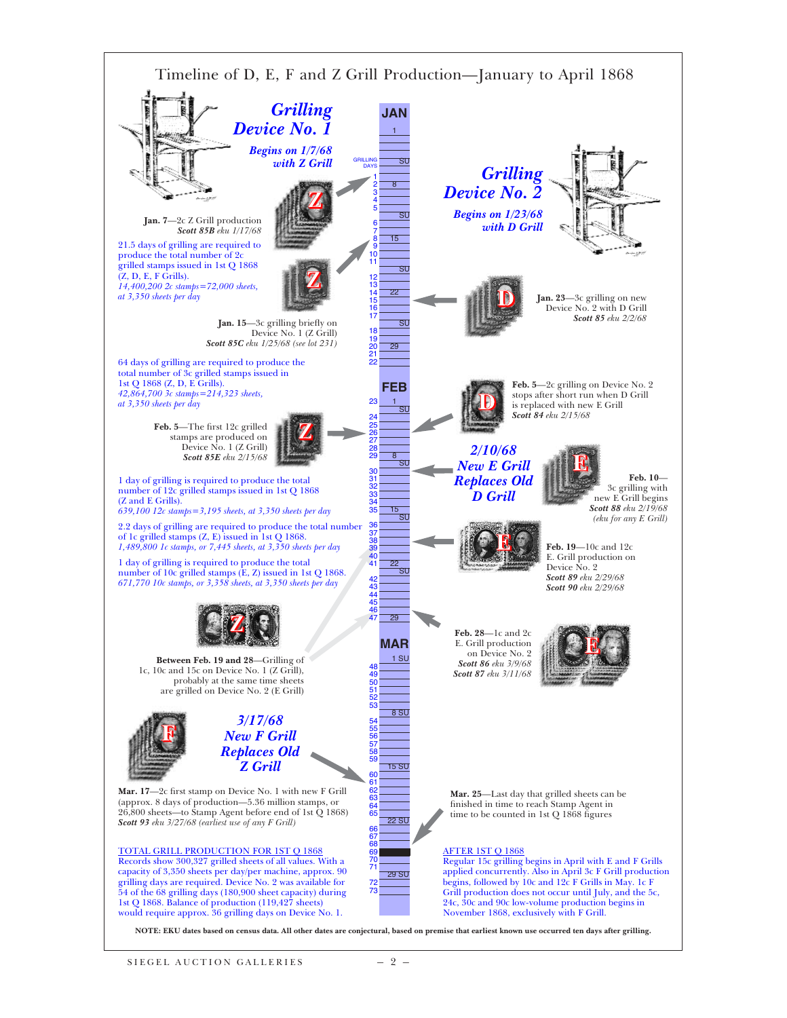